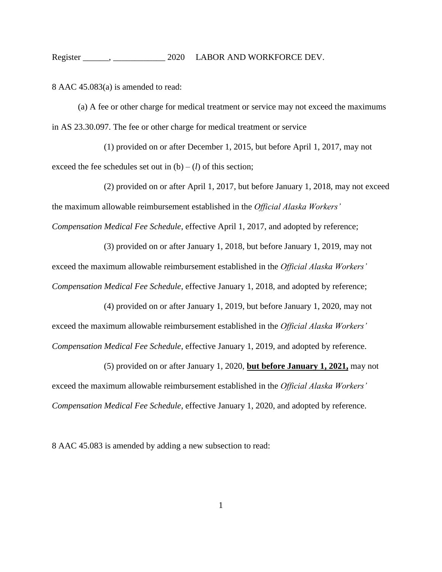## Register \_\_\_\_\_\_, \_\_\_\_\_\_\_\_\_\_\_\_\_\_\_ 2020 LABOR AND WORKFORCE DEV.

8 AAC 45.083(a) is amended to read:

(a) A fee or other charge for medical treatment or service may not exceed the maximums in AS 23.30.097. The fee or other charge for medical treatment or service

(1) provided on or after December 1, 2015, but before April 1, 2017, may not exceed the fee schedules set out in  $(b) - (l)$  of this section;

(2) provided on or after April 1, 2017, but before January 1, 2018, may not exceed the maximum allowable reimbursement established in the *Official Alaska Workers' Compensation Medical Fee Schedule*, effective April 1, 2017, and adopted by reference;

(3) provided on or after January 1, 2018, but before January 1, 2019, may not exceed the maximum allowable reimbursement established in the *Official Alaska Workers' Compensation Medical Fee Schedule*, effective January 1, 2018, and adopted by reference;

(4) provided on or after January 1, 2019, but before January 1, 2020, may not exceed the maximum allowable reimbursement established in the *Official Alaska Workers' Compensation Medical Fee Schedule*, effective January 1, 2019, and adopted by reference.

(5) provided on or after January 1, 2020, **but before January 1, 2021,** may not exceed the maximum allowable reimbursement established in the *Official Alaska Workers' Compensation Medical Fee Schedule*, effective January 1, 2020, and adopted by reference.

8 AAC 45.083 is amended by adding a new subsection to read: